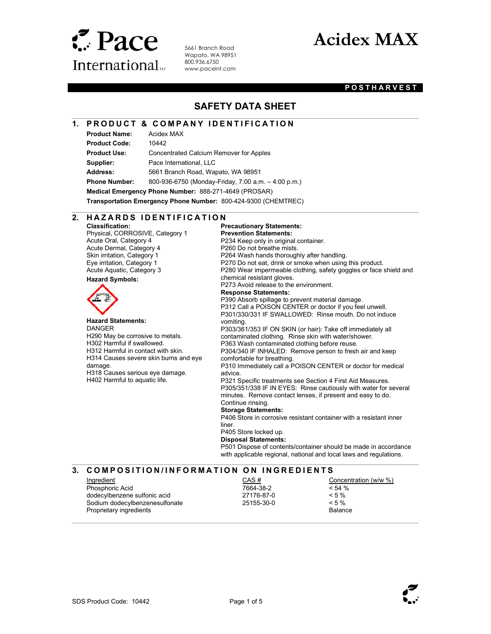

5661 Branch Road Wapato, WA 98951 800.936.6750 www.paceint.com

# Acidex MAX

#### **POSTHARVEST**

### SAFETY DATA SHEET

#### 1. PRODUCT & COMPANY IDENTIFICATION

Product Name: Acidex MAX

 $\overline{a}$ 

 $\overline{a}$ 

 $\overline{a}$ 

 $\overline{a}$ 

Product Code: 10442 Product Use: Concentrated Calcium Remover for Apples Supplier: Pace International, LLC Address: 5661 Branch Road, Wapato, WA 98951 Phone Number: 800-936-6750 (Monday-Friday, 7:00 a.m. – 4:00 p.m.) Medical Emergency Phone Number: 888-271-4649 (PROSAR) Transportation Emergency Phone Number: 800-424-9300 (CHEMTREC)

2. HAZARDS IDENTIFICATION

Classification: Physical, CORROSIVE, Category 1 Acute Oral, Category 4 Acute Dermal, Category 4 Skin irritation, Category 1 Eye irritation, Category 1 Acute Aquatic, Category 3 Hazard Symbols:



Hazard Statements: **DANGER** H290 May be corrosive to metals. H302 Harmful if swallowed. H312 Harmful in contact with skin. H314 Causes severe skin burns and eye damage. H318 Causes serious eye damage. H402 Harmful to aquatic life.

#### Precautionary Statements: Prevention Statements: P234 Keep only in original container. P260 Do not breathe mists. P264 Wash hands thoroughly after handling. P270 Do not eat, drink or smoke when using this product. P280 Wear impermeable clothing, safety goggles or face shield and chemical resistant gloves. P273 Avoid release to the environment. Response Statements: P390 Absorb spillage to prevent material damage. P312 Call a POISON CENTER or doctor if you feel unwell. P301/330/331 IF SWALLOWED: Rinse mouth. Do not induce vomiting. P303/361/353 IF ON SKIN (or hair): Take off immediately all contaminated clothing. Rinse skin with water/shower. P363 Wash contaminated clothing before reuse. P304/340 IF INHALED: Remove person to fresh air and keep comfortable for breathing. P310 Immediately call a POISON CENTER or doctor for medical advice. P321 Specific treatments see Section 4 First Aid Measures. P305/351/338 IF IN EYES: Rinse cautiously with water for several minutes. Remove contact lenses, if present and easy to do. Continue rinsing. Storage Statements: P406 Store in corrosive resistant container with a resistant inner liner. P405 Store locked up. Disposal Statements: P501 Dispose of contents/container should be made in accordance with applicable regional, national and local laws and regulations.

#### 3. COMPOSITION/INFORMATION ON INGREDIENTS

Ingredient Phosphoric Acid dodecylbenzene sulfonic acid Sodium dodecylbenzenesulfonate Proprietary ingredients

CAS # 7664-38-2 27176-87-0 25155-30-0

Concentration (w/w %)  $< 54 %$  $< 5 \%$  $< 5 \%$ Balance

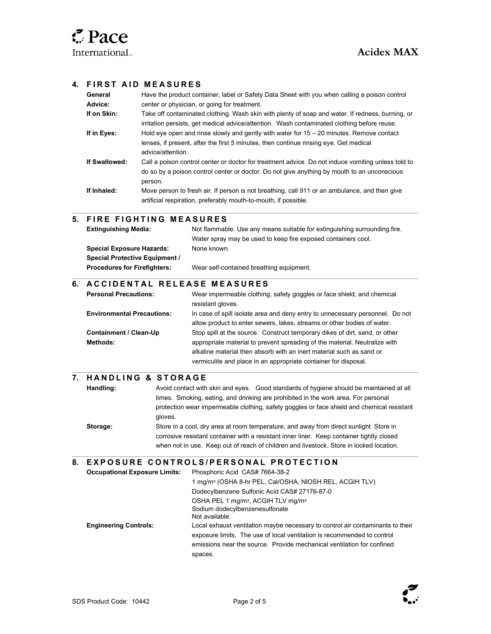$\overline{a}$ 

 $\overline{a}$ 

#### 4. FIRST AID MEASURES

| General       | Have the product container, label or Safety Data Sheet with you when calling a poison control                                                                                                                |
|---------------|--------------------------------------------------------------------------------------------------------------------------------------------------------------------------------------------------------------|
| Advice:       | center or physician, or going for treatment.                                                                                                                                                                 |
| If on Skin:   | Take off contaminated clothing. Wash skin with plenty of soap and water. If redness, burning, or<br>irritation persists, get medical advice/attention. Wash contaminated clothing before reuse.              |
| If in Eyes:   | Hold eye open and rinse slowly and gently with water for $15 - 20$ minutes. Remove contact<br>lenses, if present, after the first 5 minutes, then continue rinsing eye. Get medical<br>advice/attention.     |
| If Swallowed: | Call a poison control center or doctor for treatment advice. Do not induce vomiting unless told to<br>do so by a poison control center or doctor. Do not give anything by mouth to an unconscious<br>person. |
| If Inhaled:   | Move person to fresh air. If person is not breathing, call 911 or an ambulance, and then give<br>artificial respiration, preferably mouth-to-mouth, if possible.                                             |

#### 5. FIRE FIGHTING MEASURES

| <b>Extinguishing Media:</b>           | Not flammable. Use any means suitable for extinguishing surrounding fire. |
|---------------------------------------|---------------------------------------------------------------------------|
|                                       | Water spray may be used to keep fire exposed containers cool.             |
| <b>Special Exposure Hazards:</b>      | None known.                                                               |
| <b>Special Protective Equipment /</b> |                                                                           |
| <b>Procedures for Firefighters:</b>   | Wear self-contained breathing equipment.                                  |
|                                       |                                                                           |

### 6. A C C I D EN TAL RELEASE MEASURES

| <b>Personal Precautions:</b>      | Wear impermeable clothing, safety goggles or face shield, and chemical        |
|-----------------------------------|-------------------------------------------------------------------------------|
|                                   | resistant gloves.                                                             |
| <b>Environmental Precautions:</b> | In case of spill isolate area and deny entry to unnecessary personnel. Do not |
|                                   | allow product to enter sewers, lakes, streams or other bodies of water.       |
| Containment / Clean-Up            | Stop spill at the source. Construct temporary dikes of dirt, sand, or other   |
| <b>Methods:</b>                   | appropriate material to prevent spreading of the material. Neutralize with    |
|                                   | alkaline material then absorb with an inert material such as sand or          |
|                                   | vermiculite and place in an appropriate container for disposal.               |

#### 7. HANDLING & STORAGE

| Handling: | Avoid contact with skin and eyes. Good standards of hygiene should be maintained at all    |
|-----------|--------------------------------------------------------------------------------------------|
|           | times. Smoking, eating, and drinking are prohibited in the work area. For personal         |
|           | protection wear impermeable clothing, safety goggles or face shield and chemical resistant |
|           | aloves.                                                                                    |
| Storage:  | Store in a cool, dry area at room temperature, and away from direct sunlight. Store in     |
|           | corrosive resistant container with a resistant inner liner. Keep container tightly closed  |
|           | when not in use. Keep out of reach of children and livestock. Store in locked location.    |

#### $\overline{a}$ 8. EXPOSURE CONTROLS/PERSONAL PROTECTION

| <b>Occupational Exposure Limits:</b> | Phosphoric Acid CAS# 7664-38-2                                                                                                                                                                                                                 |
|--------------------------------------|------------------------------------------------------------------------------------------------------------------------------------------------------------------------------------------------------------------------------------------------|
|                                      | 1 mg/m <sup>3</sup> (OSHA 8-hr PEL, Cal/OSHA, NIOSH REL, ACGIH TLV)                                                                                                                                                                            |
|                                      | Dodecylbenzene Sulfonic Acid CAS# 27176-87-0                                                                                                                                                                                                   |
|                                      | OSHA PEL 1 mg/m <sup>3</sup> , ACGIH TLV mg/m <sup>3</sup><br>Sodium dodecylbenzenesulfonate<br>Not available.                                                                                                                                 |
| <b>Engineering Controls:</b>         | Local exhaust ventilation maybe necessary to control air contaminants to their<br>exposure limits. The use of local ventilation is recommended to control<br>emissions near the source. Provide mechanical ventilation for confined<br>spaces. |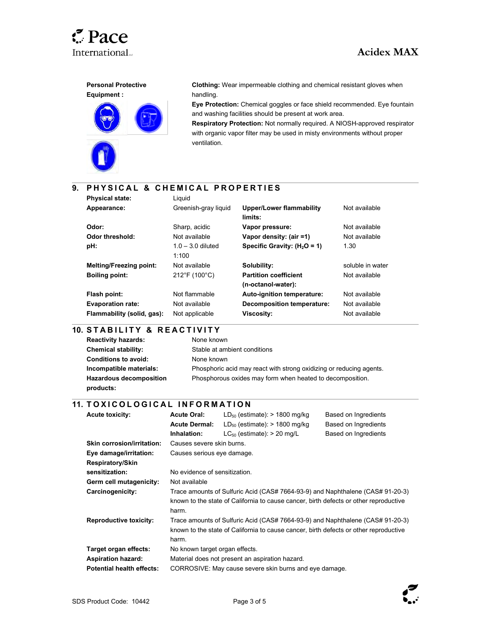





Clothing: Wear impermeable clothing and chemical resistant gloves when handling.

Eye Protection: Chemical goggles or face shield recommended. Eye fountain and washing facilities should be present at work area.

Respiratory Protection: Not normally required. A NIOSH-approved respirator with organic vapor filter may be used in misty environments without proper ventilation.

### 9. PHYSICAL & CHEMICAL PROPERTIES

| <b>Physical state:</b>         | Liauid                       |                                                    |                  |
|--------------------------------|------------------------------|----------------------------------------------------|------------------|
| Appearance:                    | Greenish-gray liquid         | <b>Upper/Lower flammability</b><br>limits:         | Not available    |
| Odor:                          | Sharp, acidic                | Vapor pressure:                                    | Not available    |
| <b>Odor threshold:</b>         | Not available                | Vapor density: (air =1)                            | Not available    |
| pH:                            | $1.0 - 3.0$ diluted<br>1:100 | Specific Gravity: $(H_2O = 1)$                     | 1.30             |
| <b>Melting/Freezing point:</b> | Not available                | Solubility:                                        | soluble in water |
| <b>Boiling point:</b>          | 212°F (100°C)                | <b>Partition coefficient</b><br>(n-octanol-water): | Not available    |
| Flash point:                   | Not flammable                | Auto-ignition temperature:                         | Not available    |
| <b>Evaporation rate:</b>       | Not available                | Decomposition temperature:                         | Not available    |
| Flammability (solid, gas):     | Not applicable               | <b>Viscosity:</b>                                  | Not available    |

## 10. STABILITY & REACTIVITY

| <b>Reactivity hazards:</b>     | None known                                                          |
|--------------------------------|---------------------------------------------------------------------|
| <b>Chemical stability:</b>     | Stable at ambient conditions                                        |
| <b>Conditions to avoid:</b>    | None known                                                          |
| Incompatible materials:        | Phosphoric acid may react with strong oxidizing or reducing agents. |
| <b>Hazardous decomposition</b> | Phosphorous oxides may form when heated to decomposition.           |
| products:                      |                                                                     |

### .<br>11. TOXICOLOGICAL INFORMATION

| <b>Acute toxicity:</b>            | <b>Acute Oral:</b>                                                             | $LD_{50}$ (estimate): > 1800 mg/kg                                                    | Based on Ingredients |  |
|-----------------------------------|--------------------------------------------------------------------------------|---------------------------------------------------------------------------------------|----------------------|--|
|                                   | <b>Acute Dermal:</b>                                                           | $LD_{50}$ (estimate): > 1800 mg/kg                                                    | Based on Ingredients |  |
|                                   | Inhalation:                                                                    | $LC_{50}$ (estimate): > 20 mg/L                                                       | Based on Ingredients |  |
| <b>Skin corrosion/irritation:</b> | Causes severe skin burns.                                                      |                                                                                       |                      |  |
| Eye damage/irritation:            |                                                                                | Causes serious eye damage.                                                            |                      |  |
| Respiratory/Skin                  |                                                                                |                                                                                       |                      |  |
| sensitization:                    | No evidence of sensitization.                                                  |                                                                                       |                      |  |
| Germ cell mutagenicity:           | Not available                                                                  |                                                                                       |                      |  |
| Carcinogenicity:                  | Trace amounts of Sulfuric Acid (CAS# 7664-93-9) and Naphthalene (CAS# 91-20-3) |                                                                                       |                      |  |
|                                   |                                                                                | known to the state of California to cause cancer, birth defects or other reproductive |                      |  |
|                                   | harm.                                                                          |                                                                                       |                      |  |
| <b>Reproductive toxicity:</b>     |                                                                                | Trace amounts of Sulfuric Acid (CAS# 7664-93-9) and Naphthalene (CAS# 91-20-3)        |                      |  |
|                                   |                                                                                | known to the state of California to cause cancer, birth defects or other reproductive |                      |  |
|                                   | harm.                                                                          |                                                                                       |                      |  |
| Target organ effects:             | No known target organ effects.                                                 |                                                                                       |                      |  |
| <b>Aspiration hazard:</b>         |                                                                                | Material does not present an aspiration hazard.                                       |                      |  |
| <b>Potential health effects:</b>  |                                                                                | CORROSIVE: May cause severe skin burns and eye damage.                                |                      |  |

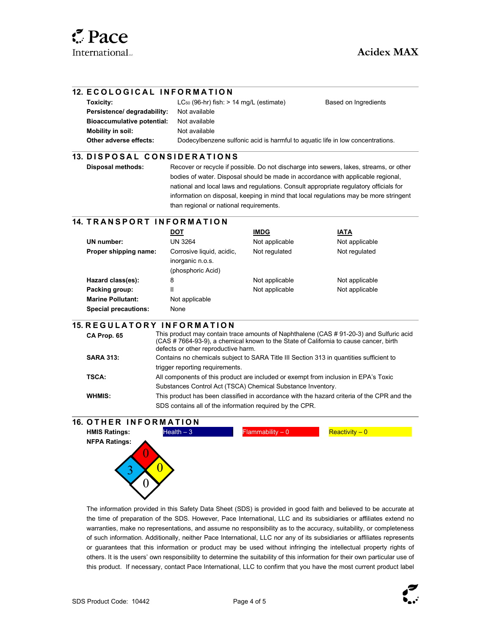$\overline{a}$ 

 $\overline{a}$ 

 $\overline{a}$ 

#### 12. ECOLOGICAL INFORMATION

| Toxicity:                         | $LC_{50}$ (96-hr) fish: $> 14$ mg/L (estimate)                                 | Based on Ingredients |
|-----------------------------------|--------------------------------------------------------------------------------|----------------------|
| Persistence/ degradability:       | Not available                                                                  |                      |
| <b>Bioaccumulative potential:</b> | Not available                                                                  |                      |
| Mobility in soil:                 | Not available                                                                  |                      |
| Other adverse effects:            | Dodecylbenzene sulfonic acid is harmful to aguatic life in low concentrations. |                      |

#### $\overline{a}$ 13. DISPOSAL CONSIDERATIONS

Disposal methods: Recover or recycle if possible. Do not discharge into sewers, lakes, streams, or other bodies of water. Disposal should be made in accordance with applicable regional, national and local laws and regulations. Consult appropriate regulatory officials for information on disposal, keeping in mind that local regulations may be more stringent than regional or national requirements.

#### 14. TRANSPORT INFORMATION

|                             | DOT                                                                | <b>IMDG</b>    | <b>IATA</b>    |
|-----------------------------|--------------------------------------------------------------------|----------------|----------------|
| UN number:                  | UN 3264                                                            | Not applicable | Not applicable |
| Proper shipping name:       | Corrosive liquid, acidic,<br>inorganic n.o.s.<br>(phosphoric Acid) | Not regulated  | Not regulated  |
| Hazard class(es):           | 8                                                                  | Not applicable | Not applicable |
| Packing group:              | Ш                                                                  | Not applicable | Not applicable |
| <b>Marine Pollutant:</b>    | Not applicable                                                     |                |                |
| <b>Special precautions:</b> | None                                                               |                |                |

#### **15. REGULATORY INFORMATION**

| CA Prop. 65      | This product may contain trace amounts of Naphthalene (CAS #91-20-3) and Sulfuric acid<br>(CAS # 7664-93-9), a chemical known to the State of California to cause cancer, birth<br>defects or other reproductive harm. |
|------------------|------------------------------------------------------------------------------------------------------------------------------------------------------------------------------------------------------------------------|
| <b>SARA 313:</b> | Contains no chemicals subject to SARA Title III Section 313 in quantities sufficient to                                                                                                                                |
|                  | trigger reporting requirements.                                                                                                                                                                                        |
| <b>TSCA:</b>     | All components of this product are included or exempt from inclusion in EPA's Toxic                                                                                                                                    |
|                  | Substances Control Act (TSCA) Chemical Substance Inventory.                                                                                                                                                            |
| WHMIS:           | This product has been classified in accordance with the hazard criteria of the CPR and the                                                                                                                             |
|                  | SDS contains all of the information required by the CPR.                                                                                                                                                               |



The information provided in this Safety Data Sheet (SDS) is provided in good faith and believed to be accurate at the time of preparation of the SDS. However, Pace International, LLC and its subsidiaries or affiliates extend no warranties, make no representations, and assume no responsibility as to the accuracy, suitability, or completeness of such information. Additionally, neither Pace International, LLC nor any of its subsidiaries or affiliates represents or guarantees that this information or product may be used without infringing the intellectual property rights of others. It is the users' own responsibility to determine the suitability of this information for their own particular use of this product. If necessary, contact Pace International, LLC to confirm that you have the most current product label